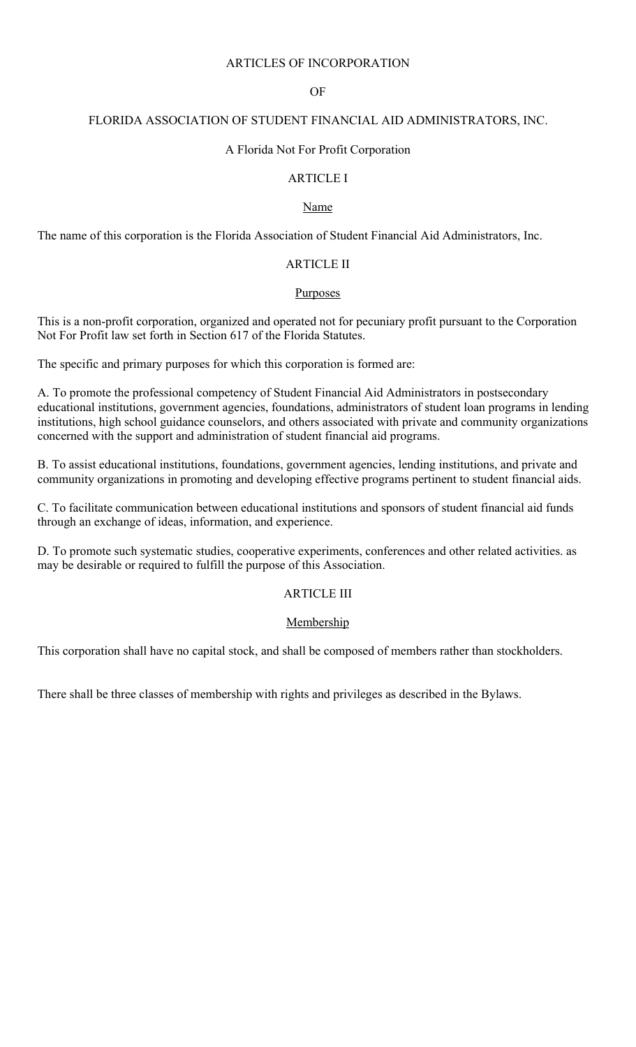## ARTICLES OF INCORPORATION

### OF

### FLORIDA ASSOCIATION OF STUDENT FINANCIAL AID ADMINISTRATORS, INC.

#### A Florida Not For Profit Corporation

# ARTICLE I

### Name

The name of this corporation is the Florida Association of Student Financial Aid Administrators, Inc.

# ARTICLE II

#### **Purposes**

This is a non-profit corporation, organized and operated not for pecuniary profit pursuant to the Corporation Not For Profit law set forth in Section 617 of the Florida Statutes.

The specific and primary purposes for which this corporation is formed are:

A. To promote the professional competency of Student Financial Aid Administrators in postsecondary educational institutions, government agencies, foundations, administrators of student loan programs in lending institutions, high school guidance counselors, and others associated with private and community organizations concerned with the support and administration of student financial aid programs.

B. To assist educational institutions, foundations, government agencies, lending institutions, and private and community organizations in promoting and developing effective programs pertinent to student financial aids.

C. To facilitate communication between educational institutions and sponsors of student financial aid funds through an exchange of ideas, information, and experience.

D. To promote such systematic studies, cooperative experiments, conferences and other related activities. as may be desirable or required to fulfill the purpose of this Association.

## ARTICLE III

#### Membership

This corporation shall have no capital stock, and shall be composed of members rather than stockholders.

There shall be three classes of membership with rights and privileges as described in the Bylaws.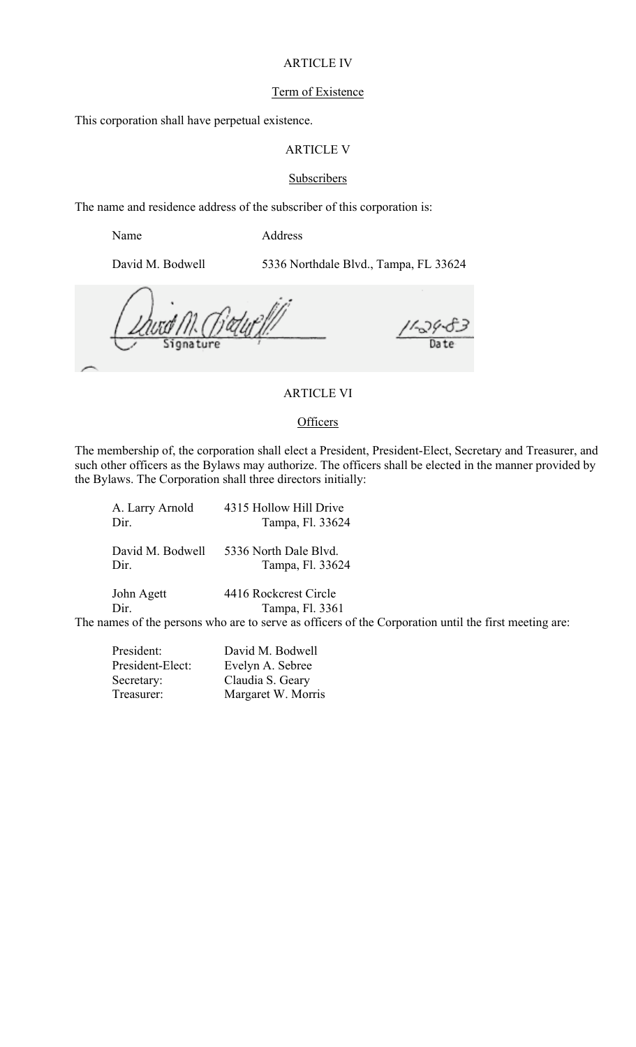### ARTICLE IV

#### Term of Existence

This corporation shall have perpetual existence.

# ARTICLE V

#### **Subscribers**

The name and residence address of the subscriber of this corporation is:

Name Address

David M. Bodwell 5336 Northdale Blvd., Tampa, FL 33624

## ARTICLE VI

### **Officers**

The membership of, the corporation shall elect a President, President-Elect, Secretary and Treasurer, and such other officers as the Bylaws may authorize. The officers shall be elected in the manner provided by the Bylaws. The Corporation shall three directors initially:

| A. Larry Arnold                        | 4315 Hollow Hill Drive                                                                                |
|----------------------------------------|-------------------------------------------------------------------------------------------------------|
| Dir.                                   | Tampa, Fl. 33624                                                                                      |
| David M. Bodwell                       | 5336 North Dale Blyd.                                                                                 |
| Dir.                                   | Tampa, Fl. 33624                                                                                      |
| John Agett                             | 4416 Rockcrest Circle                                                                                 |
| Dir.                                   | Tampa, Fl. 3361                                                                                       |
|                                        | The names of the persons who are to serve as officers of the Corporation until the first meeting are: |
| $\mathbf{n}$ $\mathbf{1}$ $\mathbf{n}$ | $N$ $111$ $N$ $N$ $1$ $11$                                                                            |

| President:       | David M. Bodwell   |
|------------------|--------------------|
| President-Elect: | Evelyn A. Sebree   |
| Secretary:       | Claudia S. Geary   |
| Treasurer:       | Margaret W. Morris |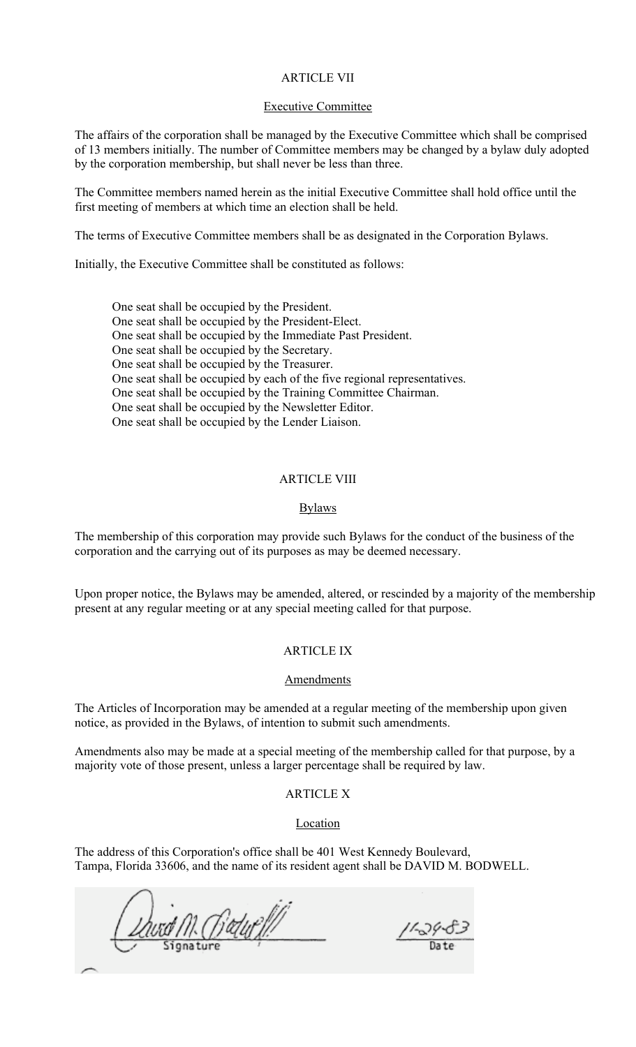## ARTICLE VII

#### Executive Committee

The affairs of the corporation shall be managed by the Executive Committee which shall be comprised of 13 members initially. The number of Committee members may be changed by a bylaw duly adopted by the corporation membership, but shall never be less than three.

The Committee members named herein as the initial Executive Committee shall hold office until the first meeting of members at which time an election shall be held.

The terms of Executive Committee members shall be as designated in the Corporation Bylaws.

Initially, the Executive Committee shall be constituted as follows:

One seat shall be occupied by the President. One seat shall be occupied by the President-Elect. One seat shall be occupied by the Immediate Past President. One seat shall be occupied by the Secretary. One seat shall be occupied by the Treasurer. One seat shall be occupied by each of the five regional representatives. One seat shall be occupied by the Training Committee Chairman. One seat shall be occupied by the Newsletter Editor. One seat shall be occupied by the Lender Liaison.

### ARTICLE VIII

#### **Bylaws**

The membership of this corporation may provide such Bylaws for the conduct of the business of the corporation and the carrying out of its purposes as may be deemed necessary.

Upon proper notice, the Bylaws may be amended, altered, or rescinded by a majority of the membership present at any regular meeting or at any special meeting called for that purpose.

### ARTICLE IX

#### **Amendments**

The Articles of Incorporation may be amended at a regular meeting of the membership upon given notice, as provided in the Bylaws, of intention to submit such amendments.

Amendments also may be made at a special meeting of the membership called for that purpose, by a majority vote of those present, unless a larger percentage shall be required by law.

## ARTICLE X

#### Location

The address of this Corporation's office shall be 401 West Kennedy Boulevard, Tampa, Florida 33606, and the name of its resident agent shall be DAVID M. BODWELL.

Unid M. Batuell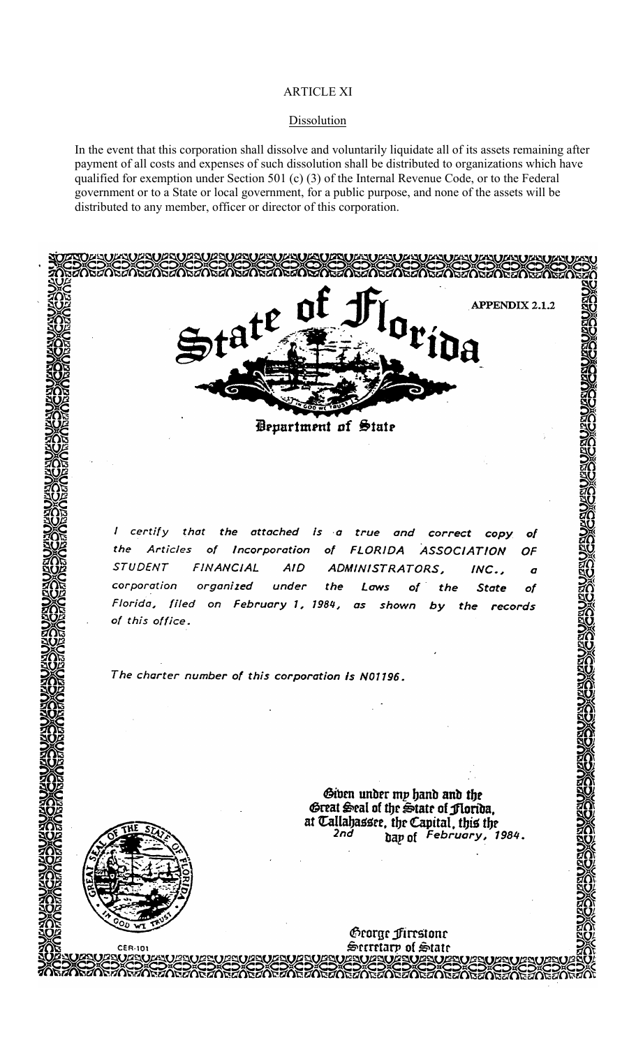## ARTICLE XI

#### **Dissolution**

In the event that this corporation shall dissolve and voluntarily liquidate all of its assets remaining after payment of all costs and expenses of such dissolution shall be distributed to organizations which have qualified for exemption under Section 501 (c) (3) of the Internal Revenue Code, or to the Federal government or to a State or local government, for a public purpose, and none of the assets will be distributed to any member, officer or director of this corporation.

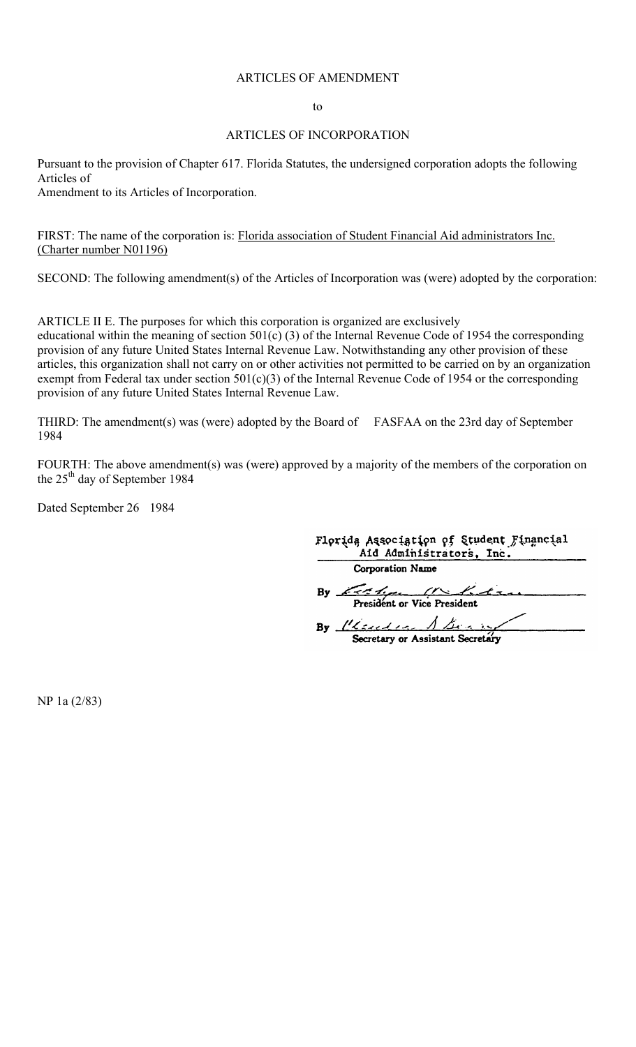### ARTICLES OF AMENDMENT

to

#### ARTICLES OF INCORPORATION

Pursuant to the provision of Chapter 617. Florida Statutes, the undersigned corporation adopts the following Articles of

Amendment to its Articles of Incorporation.

FIRST: The name of the corporation is: **Florida association of Student Financial Aid administrators Inc.** (Charter number N01196)

SECOND: The following amendment(s) of the Articles of Incorporation was (were) adopted by the corporation:

ARTICLE II E. The purposes for which this corporation is organized are exclusively educational within the meaning of section 501(c) (3) of the Internal Revenue Code of 1954 the corresponding provision of any future United States Internal Revenue Law. Notwithstanding any other provision of these articles, this organization shall not carry on or other activities not permitted to be carried on by an organization exempt from Federal tax under section 501(c)(3) of the Internal Revenue Code of 1954 or the corresponding provision of any future United States Internal Revenue Law.

THIRD: The amendment(s) was (were) adopted by the Board of FASFAA on the 23rd day of September 1984

FOURTH: The above amendment(s) was (were) approved by a majority of the members of the corporation on the  $25<sup>th</sup>$  day of September 1984

Dated September 26 1984

| Florida Association of Student Financial<br>Aid Administrators, Inc. |
|----------------------------------------------------------------------|
| Corporation Name                                                     |
| By $K \rightarrow K$                                                 |
| By Clause Abonne                                                     |

Secretary or Assistant Secretary

NP 1a (2/83)